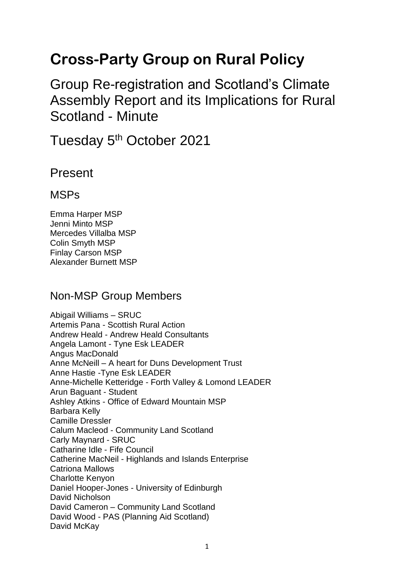# **Cross-Party Group on Rural Policy**

Group Re-registration and Scotland's Climate Assembly Report and its Implications for Rural Scotland - Minute

Tuesday 5<sup>th</sup> October 2021

Present

### **MSPs**

Emma Harper MSP Jenni Minto MSP Mercedes Villalba MSP Colin Smyth MSP Finlay Carson MSP Alexander Burnett MSP

### Non-MSP Group Members

Abigail Williams – SRUC Artemis Pana - Scottish Rural Action Andrew Heald - Andrew Heald Consultants Angela Lamont - Tyne Esk LEADER Angus MacDonald Anne McNeill – A heart for Duns Development Trust Anne Hastie -Tyne Esk LEADER Anne-Michelle Ketteridge - Forth Valley & Lomond LEADER Arun Baguant - Student Ashley Atkins - Office of Edward Mountain MSP Barbara Kelly Camille Dressler Calum Macleod - Community Land Scotland Carly Maynard - SRUC Catharine Idle - Fife Council Catherine MacNeil - Highlands and Islands Enterprise Catriona Mallows Charlotte Kenyon Daniel Hooper-Jones - University of Edinburgh David Nicholson David Cameron – Community Land Scotland David Wood - PAS (Planning Aid Scotland) David McKay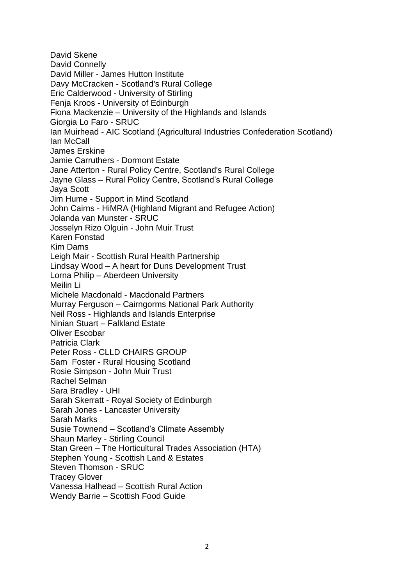David Skene David Connelly David Miller - James Hutton Institute Davy McCracken - Scotland's Rural College Eric Calderwood - University of Stirling Fenja Kroos - University of Edinburgh Fiona Mackenzie – University of the Highlands and Islands Giorgia Lo Faro - SRUC Ian Muirhead - AIC Scotland (Agricultural Industries Confederation Scotland) Ian McCall James Erskine Jamie Carruthers - Dormont Estate Jane Atterton - Rural Policy Centre, Scotland's Rural College Jayne Glass – Rural Policy Centre, Scotland's Rural College Jaya Scott Jim Hume - Support in Mind Scotland John Cairns - HiMRA (Highland Migrant and Refugee Action) Jolanda van Munster - SRUC Josselyn Rizo Olguin - John Muir Trust Karen Fonstad Kim Dams Leigh Mair - Scottish Rural Health Partnership Lindsay Wood – A heart for Duns Development Trust Lorna Philip – Aberdeen University Meilin Li Michele Macdonald - Macdonald Partners Murray Ferguson – Cairngorms National Park Authority Neil Ross - Highlands and Islands Enterprise Ninian Stuart – Falkland Estate Oliver Escobar Patricia Clark Peter Ross - CLLD CHAIRS GROUP Sam Foster - Rural Housing Scotland Rosie Simpson - John Muir Trust Rachel Selman Sara Bradley - UHI Sarah Skerratt - Royal Society of Edinburgh Sarah Jones - Lancaster University Sarah Marks Susie Townend – Scotland's Climate Assembly Shaun Marley - Stirling Council Stan Green – The Horticultural Trades Association (HTA) Stephen Young - Scottish Land & Estates Steven Thomson - SRUC Tracey Glover Vanessa Halhead – Scottish Rural Action Wendy Barrie – Scottish Food Guide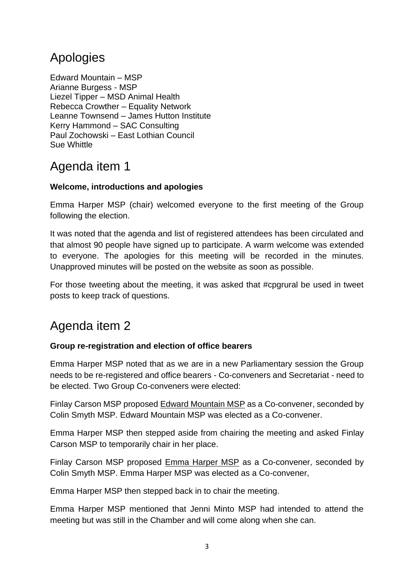# Apologies

Edward Mountain – MSP Arianne Burgess - MSP Liezel Tipper – MSD Animal Health Rebecca Crowther – Equality Network Leanne Townsend – James Hutton Institute Kerry Hammond – SAC Consulting Paul Zochowski – East Lothian Council Sue Whittle

# Agenda item 1

#### **Welcome, introductions and apologies**

Emma Harper MSP (chair) welcomed everyone to the first meeting of the Group following the election.

It was noted that the agenda and list of registered attendees has been circulated and that almost 90 people have signed up to participate. A warm welcome was extended to everyone. The apologies for this meeting will be recorded in the minutes. Unapproved minutes will be posted on the website as soon as possible.

For those tweeting about the meeting, it was asked that #cpgrural be used in tweet posts to keep track of questions.

## Agenda item 2

#### **Group re-registration and election of office bearers**

Emma Harper MSP noted that as we are in a new Parliamentary session the Group needs to be re-registered and office bearers - Co-conveners and Secretariat - need to be elected. Two Group Co-conveners were elected:

Finlay Carson MSP proposed Edward Mountain MSP as a Co-convener, seconded by Colin Smyth MSP. Edward Mountain MSP was elected as a Co-convener.

Emma Harper MSP then stepped aside from chairing the meeting and asked Finlay Carson MSP to temporarily chair in her place.

Finlay Carson MSP proposed Emma Harper MSP as a Co-convener, seconded by Colin Smyth MSP. Emma Harper MSP was elected as a Co-convener,

Emma Harper MSP then stepped back in to chair the meeting.

Emma Harper MSP mentioned that Jenni Minto MSP had intended to attend the meeting but was still in the Chamber and will come along when she can.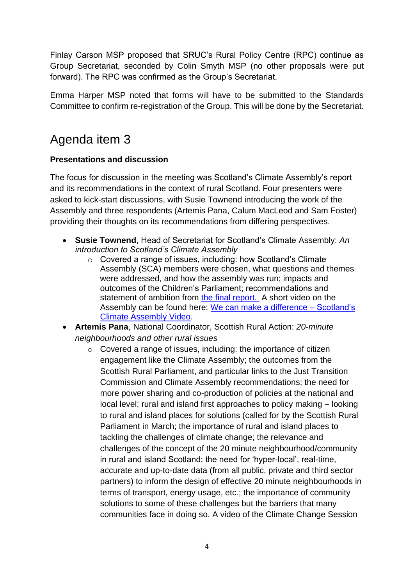Finlay Carson MSP proposed that SRUC's Rural Policy Centre (RPC) continue as Group Secretariat, seconded by Colin Smyth MSP (no other proposals were put forward). The RPC was confirmed as the Group's Secretariat.

Emma Harper MSP noted that forms will have to be submitted to the Standards Committee to confirm re-registration of the Group. This will be done by the Secretariat.

### Agenda item 3

#### **Presentations and discussion**

The focus for discussion in the meeting was Scotland's Climate Assembly's report and its recommendations in the context of rural Scotland. Four presenters were asked to kick-start discussions, with Susie Townend introducing the work of the Assembly and three respondents (Artemis Pana, Calum MacLeod and Sam Foster) providing their thoughts on its recommendations from differing perspectives.

- **Susie Townend**, Head of Secretariat for Scotland's Climate Assembly: *An introduction to Scotland's Climate Assembly*
	- o Covered a range of issues, including: how Scotland's Climate Assembly (SCA) members were chosen, what questions and themes were addressed, and how the assembly was run; impacts and outcomes of the Children's Parliament; recommendations and statement of ambition from [the final report.](https://www.climateassembly.scot/full-report) A short video on the Assembly can be found here: [We can make a difference –](https://www.youtube.com/watch?v=hisAImPXhOI&t=126s) Scotland's [Climate Assembly Video.](https://www.youtube.com/watch?v=hisAImPXhOI&t=126s)
- **Artemis Pana**, National Coordinator, Scottish Rural Action: *20-minute neighbourhoods and other rural issues*
	- o Covered a range of issues, including: the importance of citizen engagement like the Climate Assembly; the outcomes from the Scottish Rural Parliament, and particular links to the Just Transition Commission and Climate Assembly recommendations; the need for more power sharing and co-production of policies at the national and local level; rural and island first approaches to policy making – looking to rural and island places for solutions (called for by the Scottish Rural Parliament in March; the importance of rural and island places to tackling the challenges of climate change; the relevance and challenges of the concept of the 20 minute neighbourhood/community in rural and island Scotland; the need for 'hyper-local', real-time, accurate and up-to-date data (from all public, private and third sector partners) to inform the design of effective 20 minute neighbourhoods in terms of transport, energy usage, etc.; the importance of community solutions to some of these challenges but the barriers that many communities face in doing so. A video of the Climate Change Session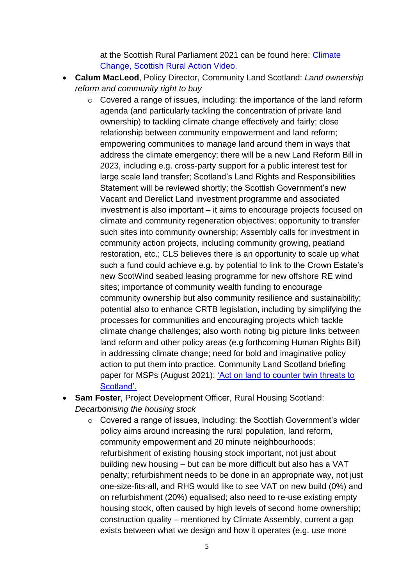at the Scottish Rural Parliament 2021 can be found here: [Climate](https://www.sra.scot/our-work/scottish-rural-parliament/vsrp-2021/climate-change)  [Change, Scottish Rural Action Video.](https://www.sra.scot/our-work/scottish-rural-parliament/vsrp-2021/climate-change)

- **Calum MacLeod**, Policy Director, Community Land Scotland: *Land ownership reform and community right to buy*
	- o Covered a range of issues, including: the importance of the land reform agenda (and particularly tackling the concentration of private land ownership) to tackling climate change effectively and fairly; close relationship between community empowerment and land reform; empowering communities to manage land around them in ways that address the climate emergency; there will be a new Land Reform Bill in 2023, including e.g. cross-party support for a public interest test for large scale land transfer; Scotland's Land Rights and Responsibilities Statement will be reviewed shortly; the Scottish Government's new Vacant and Derelict Land investment programme and associated investment is also important – it aims to encourage projects focused on climate and community regeneration objectives; opportunity to transfer such sites into community ownership; Assembly calls for investment in community action projects, including community growing, peatland restoration, etc.; CLS believes there is an opportunity to scale up what such a fund could achieve e.g. by potential to link to the Crown Estate's new ScotWind seabed leasing programme for new offshore RE wind sites; importance of community wealth funding to encourage community ownership but also community resilience and sustainability; potential also to enhance CRTB legislation, including by simplifying the processes for communities and encouraging projects which tackle climate change challenges; also worth noting big picture links between land reform and other policy areas (e.g forthcoming Human Rights Bill) in addressing climate change; need for bold and imaginative policy action to put them into practice. Community Land Scotland briefing paper for MSPs (August 2021): ['Act on land to counter twin threats to](https://www.communitylandscotland.org.uk/2021/08/act-on-land-to-counter-twin-threats-to-scotland/)  [Scotland'.](https://www.communitylandscotland.org.uk/2021/08/act-on-land-to-counter-twin-threats-to-scotland/)
- **Sam Foster**, Project Development Officer, Rural Housing Scotland: *Decarbonising the housing stock*
	- o Covered a range of issues, including: the Scottish Government's wider policy aims around increasing the rural population, land reform, community empowerment and 20 minute neighbourhoods; refurbishment of existing housing stock important, not just about building new housing – but can be more difficult but also has a VAT penalty; refurbishment needs to be done in an appropriate way, not just one-size-fits-all, and RHS would like to see VAT on new build (0%) and on refurbishment (20%) equalised; also need to re-use existing empty housing stock, often caused by high levels of second home ownership; construction quality – mentioned by Climate Assembly, current a gap exists between what we design and how it operates (e.g. use more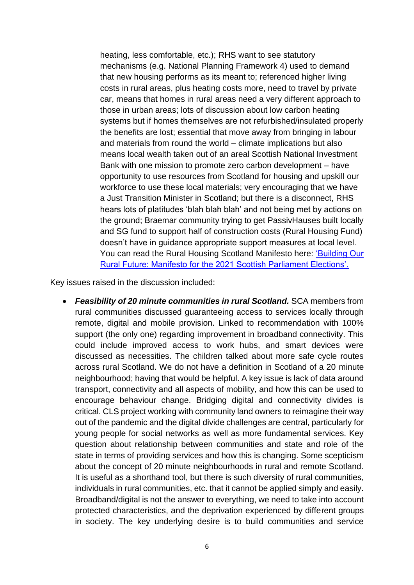heating, less comfortable, etc.); RHS want to see statutory mechanisms (e.g. National Planning Framework 4) used to demand that new housing performs as its meant to; referenced higher living costs in rural areas, plus heating costs more, need to travel by private car, means that homes in rural areas need a very different approach to those in urban areas; lots of discussion about low carbon heating systems but if homes themselves are not refurbished/insulated properly the benefits are lost; essential that move away from bringing in labour and materials from round the world – climate implications but also means local wealth taken out of an areal Scottish National Investment Bank with one mission to promote zero carbon development – have opportunity to use resources from Scotland for housing and upskill our workforce to use these local materials; very encouraging that we have a Just Transition Minister in Scotland; but there is a disconnect, RHS hears lots of platitudes 'blah blah blah' and not being met by actions on the ground; Braemar community trying to get PassivHauses built locally and SG fund to support half of construction costs (Rural Housing Fund) doesn't have in guidance appropriate support measures at local level. You can read the Rural Housing Scotland Manifesto here: ['Building Our](https://ruralhousingscotland.org/policy-form/buildingourruralfuture)  [Rural Future: Manifesto for the 2021 Scottish Parliament Elections'.](https://ruralhousingscotland.org/policy-form/buildingourruralfuture)

Key issues raised in the discussion included:

• *Feasibility of 20 minute communities in rural Scotland.* SCA members from rural communities discussed guaranteeing access to services locally through remote, digital and mobile provision. Linked to recommendation with 100% support (the only one) regarding improvement in broadband connectivity. This could include improved access to work hubs, and smart devices were discussed as necessities. The children talked about more safe cycle routes across rural Scotland. We do not have a definition in Scotland of a 20 minute neighbourhood; having that would be helpful. A key issue is lack of data around transport, connectivity and all aspects of mobility, and how this can be used to encourage behaviour change. Bridging digital and connectivity divides is critical. CLS project working with community land owners to reimagine their way out of the pandemic and the digital divide challenges are central, particularly for young people for social networks as well as more fundamental services. Key question about relationship between communities and state and role of the state in terms of providing services and how this is changing. Some scepticism about the concept of 20 minute neighbourhoods in rural and remote Scotland. It is useful as a shorthand tool, but there is such diversity of rural communities, individuals in rural communities, etc. that it cannot be applied simply and easily. Broadband/digital is not the answer to everything, we need to take into account protected characteristics, and the deprivation experienced by different groups in society. The key underlying desire is to build communities and service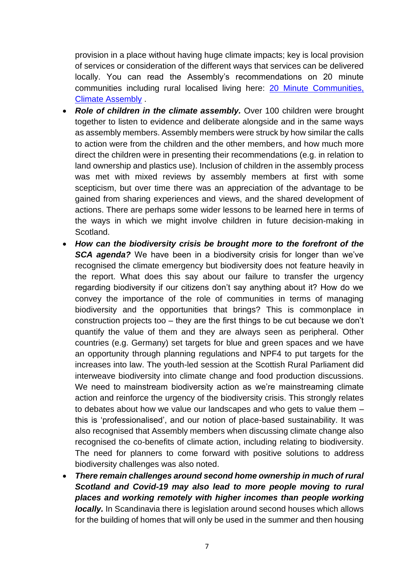provision in a place without having huge climate impacts; key is local provision of services or consideration of the different ways that services can be delivered locally. You can read the Assembly's recommendations on 20 minute communities including rural localised living here: [20 Minute Communities,](https://www.climateassembly.scot/full-report/20-minute-communities)  [Climate Assembly](https://www.climateassembly.scot/full-report/20-minute-communities) .

- *Role of children in the climate assembly.* Over 100 children were brought together to listen to evidence and deliberate alongside and in the same ways as assembly members. Assembly members were struck by how similar the calls to action were from the children and the other members, and how much more direct the children were in presenting their recommendations (e.g. in relation to land ownership and plastics use). Inclusion of children in the assembly process was met with mixed reviews by assembly members at first with some scepticism, but over time there was an appreciation of the advantage to be gained from sharing experiences and views, and the shared development of actions. There are perhaps some wider lessons to be learned here in terms of the ways in which we might involve children in future decision-making in Scotland.
- *How can the biodiversity crisis be brought more to the forefront of the*  **SCA agenda?** We have been in a biodiversity crisis for longer than we've recognised the climate emergency but biodiversity does not feature heavily in the report. What does this say about our failure to transfer the urgency regarding biodiversity if our citizens don't say anything about it? How do we convey the importance of the role of communities in terms of managing biodiversity and the opportunities that brings? This is commonplace in construction projects too – they are the first things to be cut because we don't quantify the value of them and they are always seen as peripheral. Other countries (e.g. Germany) set targets for blue and green spaces and we have an opportunity through planning regulations and NPF4 to put targets for the increases into law. The youth-led session at the Scottish Rural Parliament did interweave biodiversity into climate change and food production discussions. We need to mainstream biodiversity action as we're mainstreaming climate action and reinforce the urgency of the biodiversity crisis. This strongly relates to debates about how we value our landscapes and who gets to value them – this is 'professionalised', and our notion of place-based sustainability. It was also recognised that Assembly members when discussing climate change also recognised the co-benefits of climate action, including relating to biodiversity. The need for planners to come forward with positive solutions to address biodiversity challenges was also noted.
- *There remain challenges around second home ownership in much of rural Scotland and Covid-19 may also lead to more people moving to rural places and working remotely with higher incomes than people working locally.* In Scandinavia there is legislation around second houses which allows for the building of homes that will only be used in the summer and then housing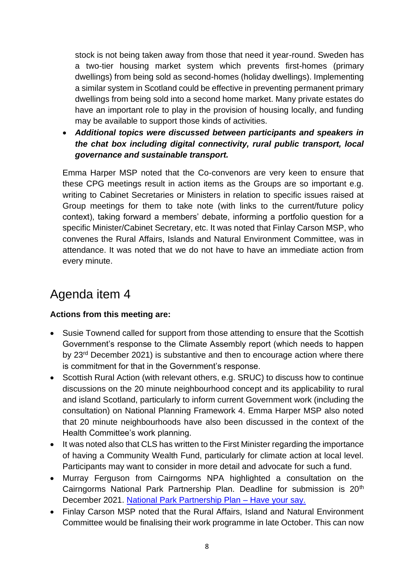stock is not being taken away from those that need it year-round. Sweden has a two-tier housing market system which prevents first-homes (primary dwellings) from being sold as second-homes (holiday dwellings). Implementing a similar system in Scotland could be effective in preventing permanent primary dwellings from being sold into a second home market. Many private estates do have an important role to play in the provision of housing locally, and funding may be available to support those kinds of activities.

• *Additional topics were discussed between participants and speakers in the chat box including digital connectivity, rural public transport, local governance and sustainable transport.*

Emma Harper MSP noted that the Co-convenors are very keen to ensure that these CPG meetings result in action items as the Groups are so important e.g. writing to Cabinet Secretaries or Ministers in relation to specific issues raised at Group meetings for them to take note (with links to the current/future policy context), taking forward a members' debate, informing a portfolio question for a specific Minister/Cabinet Secretary, etc. It was noted that Finlay Carson MSP, who convenes the Rural Affairs, Islands and Natural Environment Committee, was in attendance. It was noted that we do not have to have an immediate action from every minute.

## Agenda item 4

#### **Actions from this meeting are:**

- Susie Townend called for support from those attending to ensure that the Scottish Government's response to the Climate Assembly report (which needs to happen by 23rd December 2021) is substantive and then to encourage action where there is commitment for that in the Government's response.
- Scottish Rural Action (with relevant others, e.g. SRUC) to discuss how to continue discussions on the 20 minute neighbourhood concept and its applicability to rural and island Scotland, particularly to inform current Government work (including the consultation) on National Planning Framework 4. Emma Harper MSP also noted that 20 minute neighbourhoods have also been discussed in the context of the Health Committee's work planning.
- It was noted also that CLS has written to the First Minister regarding the importance of having a Community Wealth Fund, particularly for climate action at local level. Participants may want to consider in more detail and advocate for such a fund.
- Murray Ferguson from Cairngorms NPA highlighted a consultation on the Cairngorms National Park Partnership Plan. Deadline for submission is 20<sup>th</sup> December 2021. [National Park Partnership Plan –](https://cairngorms.co.uk/working-together/national-park-partnership-plan/) Have your say.
- Finlay Carson MSP noted that the Rural Affairs, Island and Natural Environment Committee would be finalising their work programme in late October. This can now